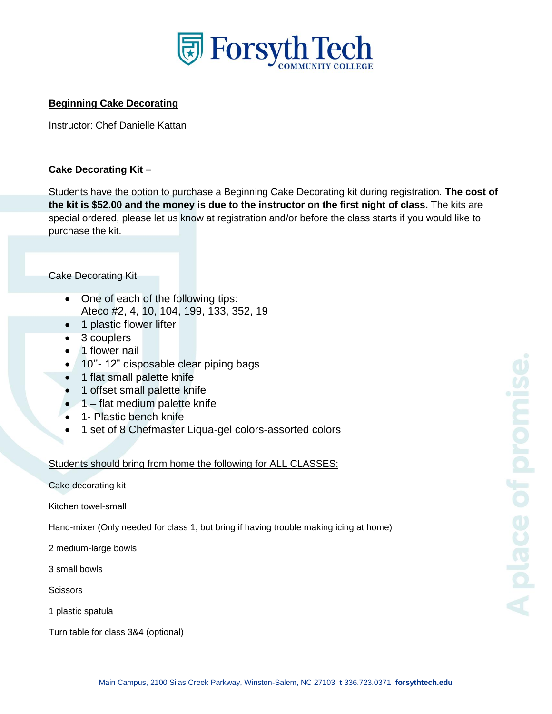

## **Beginning Cake Decorating**

Instructor: Chef Danielle Kattan

#### **Cake Decorating Kit** –

Students have the option to purchase a Beginning Cake Decorating kit during registration. **The cost of the kit is \$52.00 and the money is due to the instructor on the first night of class.** The kits are special ordered, please let us know at registration and/or before the class starts if you would like to purchase the kit.

#### Cake Decorating Kit

- One of each of the following tips: Ateco #2, 4, 10, 104, 199, 133, 352, 19
- 1 plastic flower lifter
- 3 couplers
- 1 flower nail
- 10''- 12" disposable clear piping bags
- 1 flat small palette knife
- 1 offset small palette knife
- 1 flat medium palette knife
- 1- Plastic bench knife
- 1 set of 8 Chefmaster Liqua-gel colors-assorted colors

### Students should bring from home the following for ALL CLASSES:

Cake decorating kit

Kitchen towel-small

Hand-mixer (Only needed for class 1, but bring if having trouble making icing at home)

2 medium-large bowls

3 small bowls

**Scissors** 

1 plastic spatula

Turn table for class 3&4 (optional)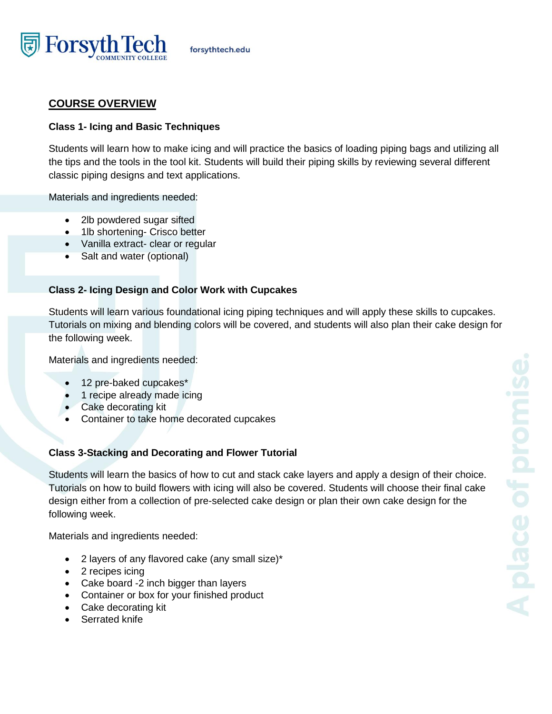

# **COURSE OVERVIEW**

### **Class 1- Icing and Basic Techniques**

Students will learn how to make icing and will practice the basics of loading piping bags and utilizing all the tips and the tools in the tool kit. Students will build their piping skills by reviewing several different classic piping designs and text applications.

Materials and ingredients needed:

- 2lb powdered sugar sifted
- 1lb shortening- Crisco better
- Vanilla extract- clear or regular
- Salt and water (optional)

## **Class 2- Icing Design and Color Work with Cupcakes**

Students will learn various foundational icing piping techniques and will apply these skills to cupcakes. Tutorials on mixing and blending colors will be covered, and students will also plan their cake design for the following week.

Materials and ingredients needed:

- 12 pre-baked cupcakes\*
- 1 recipe already made icing
- Cake decorating kit
- Container to take home decorated cupcakes

### **Class 3-Stacking and Decorating and Flower Tutorial**

Students will learn the basics of how to cut and stack cake layers and apply a design of their choice. Tutorials on how to build flowers with icing will also be covered. Students will choose their final cake design either from a collection of pre-selected cake design or plan their own cake design for the following week.

Materials and ingredients needed:

- 2 layers of any flavored cake (any small size)\*
- 2 recipes icing
- Cake board -2 inch bigger than layers
- Container or box for your finished product
- Cake decorating kit
- Serrated knife